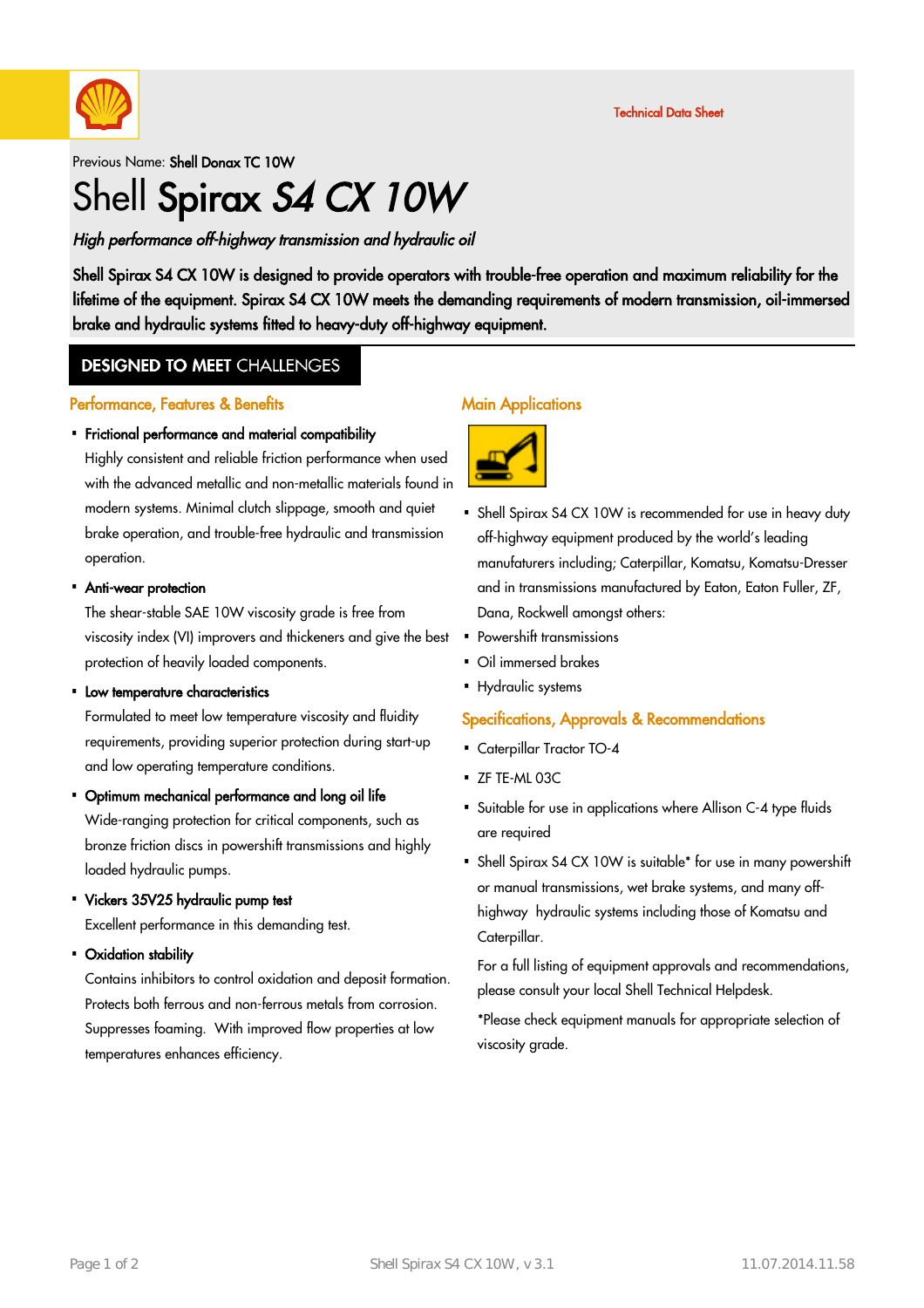

#### Previous Name: Shell Donax TC 10W

# Shell Spirax S4 CX 10W

### High performance off-highway transmission and hydraulic oil

Shell Spirax S4 CX 10W is designed to provide operators with trouble-free operation and maximum reliability for the lifetime of the equipment. Spirax S4 CX 10W meets the demanding requirements of modern transmission, oil-immersed brake and hydraulic systems fitted to heavy-duty off-highway equipment.

### **DESIGNED TO MEET CHALLENGES**

#### Performance, Features & Benefits

# Frictional performance and material compatibility ·

Highly consistent and reliable friction performance when used with the advanced metallic and non-metallic materials found in modern systems. Minimal clutch slippage, smooth and quiet brake operation, and trouble-free hydraulic and transmission operation.

# Anti-wear protection ·

The shear-stable SAE 10W viscosity grade is free from viscosity index (VI) improvers and thickeners and give the best protection of heavily loaded components.

# • Low temperature characteristics

Formulated to meet low temperature viscosity and fluidity requirements, providing superior protection during start-up and low operating temperature conditions.

# Optimum mechanical performance and long oil life ·

Wide-ranging protection for critical components, such as bronze friction discs in powershift transmissions and highly loaded hydraulic pumps.

Vickers 35V25 hydraulic pump test ·

Excellent performance in this demanding test.

Oxidation stability ·

Contains inhibitors to control oxidation and deposit formation. Protects both ferrous and non-ferrous metals from corrosion. Suppresses foaming. With improved flow properties at low temperatures enhances efficiency.

#### Main Applications



- Shell Spirax S4 CX 10W is recommended for use in heavy duty off-highway equipment produced by the world's leading manufaturers including; Caterpillar, Komatsu, Komatsu-Dresser and in transmissions manufactured by Eaton, Eaton Fuller, ZF, Dana, Rockwell amongst others:
- Powershift transmissions
- Oil immersed brakes
- Hydraulic systems

#### Specifications, Approvals & Recommendations

- Caterpillar Tractor TO-4
- $\overline{\phantom{a}}$  ZF TE-ML 03C
- Suitable for use in applications where Allison C-4 type fluids · are required
- Shell Spirax S4 CX 10W is suitable\* for use in many powershift or manual transmissions, wet brake systems, and many offhighway hydraulic systems including those of Komatsu and Caterpillar.

For a full listing of equipment approvals and recommendations, please consult your local Shell Technical Helpdesk.

\*Please check equipment manuals for appropriate selection of viscosity grade.